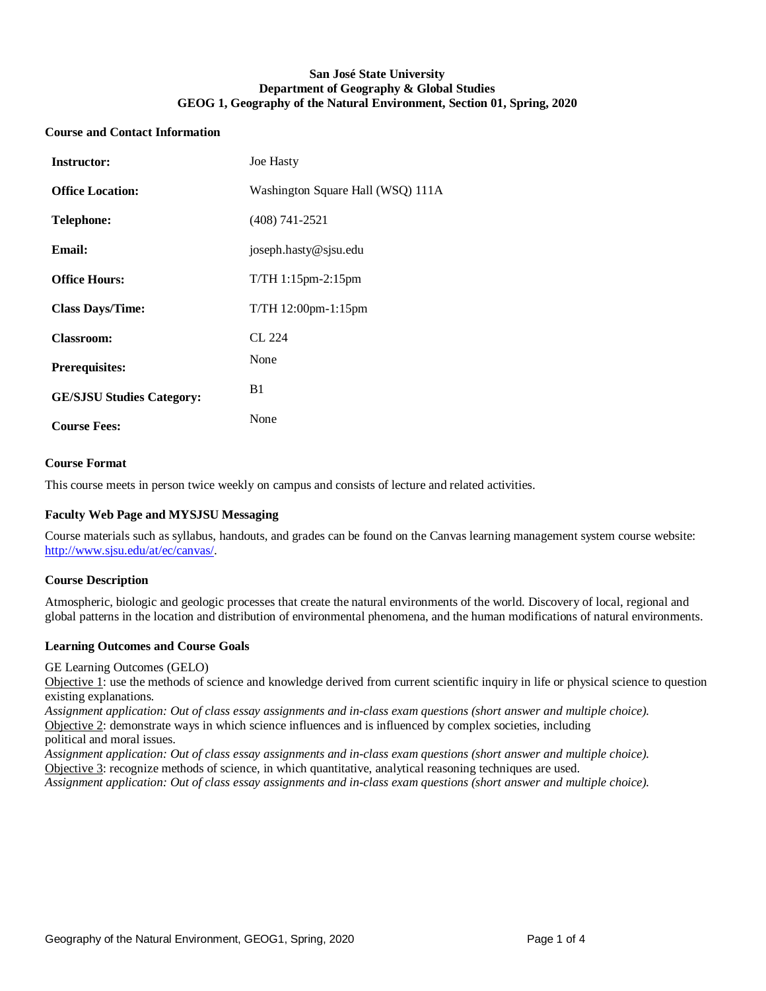## **San José State University Department of Geography & Global Studies GEOG 1, Geography of the Natural Environment, Section 01, Spring, 2020**

#### **Course and Contact Information**

| <b>Instructor:</b>               | <b>Joe Hasty</b>                  |
|----------------------------------|-----------------------------------|
| <b>Office Location:</b>          | Washington Square Hall (WSQ) 111A |
| <b>Telephone:</b>                | $(408)$ 741-2521                  |
| Email:                           | joseph.hasty@sjsu.edu             |
| <b>Office Hours:</b>             | $T/TH$ 1:15pm-2:15pm              |
| <b>Class Days/Time:</b>          | $T/TH$ 12:00pm-1:15pm             |
| <b>Classroom:</b>                | CL 224                            |
| <b>Prerequisites:</b>            | None                              |
| <b>GE/SJSU Studies Category:</b> | B1                                |
| <b>Course Fees:</b>              | None                              |

### **Course Format**

This course meets in person twice weekly on campus and consists of lecture and related activities.

## **Faculty Web Page and MYSJSU Messaging**

Course materials such as syllabus, handouts, and grades can be found on the Canvas learning management system course website: [http://www.sjsu.edu/at/ec/canvas/.](http://www.sjsu.edu/at/ec/canvas/)

#### **Course Description**

Atmospheric, biologic and geologic processes that create the natural environments of the world. Discovery of local, regional and global patterns in the location and distribution of environmental phenomena, and the human modifications of natural environments.

#### **Learning Outcomes and Course Goals**

GE Learning Outcomes (GELO)

Objective 1: use the methods of science and knowledge derived from current scientific inquiry in life or physical science to question existing explanations.

*Assignment application: Out of class essay assignments and in-class exam questions (short answer and multiple choice).* Objective 2: demonstrate ways in which science influences and is influenced by complex societies, including political and moral issues.

*Assignment application: Out of class essay assignments and in-class exam questions (short answer and multiple choice).* Objective 3: recognize methods of science, in which quantitative, analytical reasoning techniques are used.

*Assignment application: Out of class essay assignments and in-class exam questions (short answer and multiple choice).*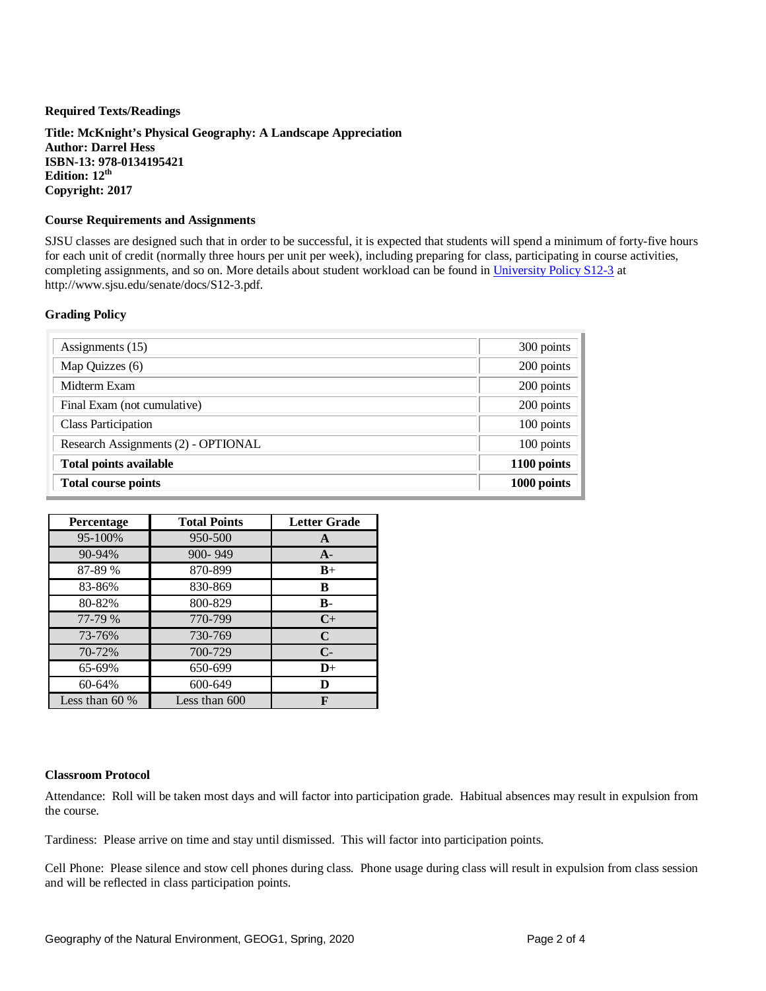### **Required Texts/Readings**

**Title: McKnight's Physical Geography: A Landscape Appreciation Author: Darrel Hess ISBN-13: 978-0134195421 Edition: 12th Copyright: 2017**

## **Course Requirements and Assignments**

SJSU classes are designed such that in order to be successful, it is expected that students will spend a minimum of forty-five hours for each unit of credit (normally three hours per unit per week), including preparing for class, participating in course activities, completing assignments, and so on. More details about student workload can be found in [University Policy S12-3](http://www.sjsu.edu/senate/docs/S12-3.pdf) at http://www.sjsu.edu/senate/docs/S12-3.pdf.

### **Grading Policy**

| Assignments (15)                    | 300 points  |
|-------------------------------------|-------------|
| Map Quizzes (6)                     | 200 points  |
| Midterm Exam                        | 200 points  |
| Final Exam (not cumulative)         | 200 points  |
| <b>Class Participation</b>          | 100 points  |
| Research Assignments (2) - OPTIONAL | 100 points  |
| <b>Total points available</b>       | 1100 points |
| <b>Total course points</b>          | 1000 points |

| <b>Percentage</b> | <b>Total Points</b> | <b>Letter Grade</b> |
|-------------------|---------------------|---------------------|
| 95-100%           | 950-500             | A                   |
| 90-94%            | $900 - 949$         | $A -$               |
| 87-89 %           | 870-899             | $B+$                |
| 83-86%            | 830-869             | B                   |
| 80-82%            | 800-829             | $\bf{B}$            |
| 77-79 %           | 770-799             | $C+$                |
| 73-76%            | 730-769             | $\mathbf C$         |
| 70-72%            | 700-729             | $C-$                |
| 65-69%            | 650-699             | $\mathbf{D}^+$      |
| 60-64%            | 600-649             | D                   |
| Less than $60\%$  | Less than 600       |                     |

#### **Classroom Protocol**

Attendance: Roll will be taken most days and will factor into participation grade. Habitual absences may result in expulsion from the course.

Tardiness: Please arrive on time and stay until dismissed. This will factor into participation points.

Cell Phone: Please silence and stow cell phones during class. Phone usage during class will result in expulsion from class session and will be reflected in class participation points.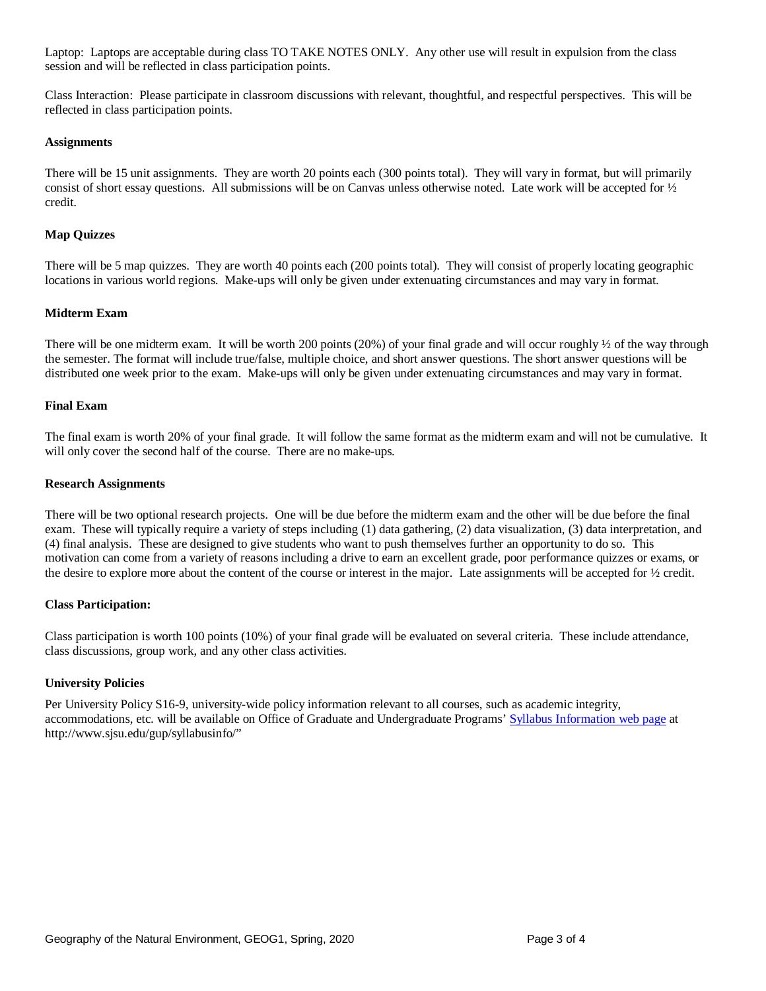Laptop: Laptops are acceptable during class TO TAKE NOTES ONLY. Any other use will result in expulsion from the class session and will be reflected in class participation points.

Class Interaction: Please participate in classroom discussions with relevant, thoughtful, and respectful perspectives. This will be reflected in class participation points.

#### **Assignments**

There will be 15 unit assignments. They are worth 20 points each (300 points total). They will vary in format, but will primarily consist of short essay questions. All submissions will be on Canvas unless otherwise noted. Late work will be accepted for  $\frac{1}{2}$ credit.

### **Map Quizzes**

There will be 5 map quizzes. They are worth 40 points each (200 points total). They will consist of properly locating geographic locations in various world regions. Make-ups will only be given under extenuating circumstances and may vary in format.

### **Midterm Exam**

There will be one midterm exam. It will be worth 200 points (20%) of your final grade and will occur roughly  $\frac{1}{2}$  of the way through the semester. The format will include true/false, multiple choice, and short answer questions. The short answer questions will be distributed one week prior to the exam. Make-ups will only be given under extenuating circumstances and may vary in format.

#### **Final Exam**

The final exam is worth 20% of your final grade. It will follow the same format as the midterm exam and will not be cumulative. It will only cover the second half of the course. There are no make-ups.

#### **Research Assignments**

There will be two optional research projects. One will be due before the midterm exam and the other will be due before the final exam. These will typically require a variety of steps including (1) data gathering, (2) data visualization, (3) data interpretation, and (4) final analysis. These are designed to give students who want to push themselves further an opportunity to do so. This motivation can come from a variety of reasons including a drive to earn an excellent grade, poor performance quizzes or exams, or the desire to explore more about the content of the course or interest in the major. Late assignments will be accepted for ½ credit.

#### **Class Participation:**

Class participation is worth 100 points (10%) of your final grade will be evaluated on several criteria. These include attendance, class discussions, group work, and any other class activities.

#### **University Policies**

Per University Policy S16-9, university-wide policy information relevant to all courses, such as academic integrity, accommodations, etc. will be available on Office of Graduate and Undergraduate Programs[' Syllabus Information](http://www.sjsu.edu/gup/syllabusinfo/) web page at http://www.sjsu.edu/gup/syllabusinfo/"